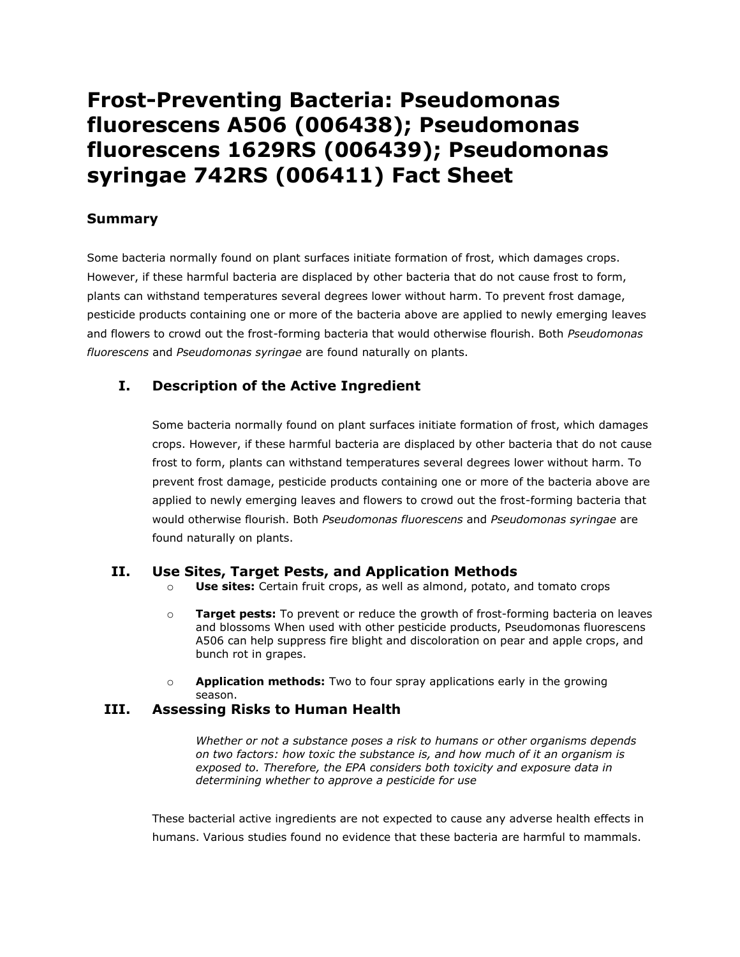# **Frost-Preventing Bacteria: Pseudomonas fluorescens A506 (006438); Pseudomonas fluorescens 1629RS (006439); Pseudomonas syringae 742RS (006411) Fact Sheet**

## **Summary**

Some bacteria normally found on plant surfaces initiate formation of frost, which damages crops. However, if these harmful bacteria are displaced by other bacteria that do not cause frost to form, plants can withstand temperatures several degrees lower without harm. To prevent frost damage, pesticide products containing one or more of the bacteria above are applied to newly emerging leaves and flowers to crowd out the frost-forming bacteria that would otherwise flourish. Both *Pseudomonas fluorescens* and *Pseudomonas syringae* are found naturally on plants.

# **I. Description of the Active Ingredient**

Some bacteria normally found on plant surfaces initiate formation of frost, which damages crops. However, if these harmful bacteria are displaced by other bacteria that do not cause frost to form, plants can withstand temperatures several degrees lower without harm. To prevent frost damage, pesticide products containing one or more of the bacteria above are applied to newly emerging leaves and flowers to crowd out the frost-forming bacteria that would otherwise flourish. Both *Pseudomonas fluorescens* and *Pseudomonas syringae* are found naturally on plants.

## **II. Use Sites, Target Pests, and Application Methods**

- o **Use sites:** Certain fruit crops, as well as almond, potato, and tomato crops
- o **Target pests:** To prevent or reduce the growth of frost-forming bacteria on leaves and blossoms When used with other pesticide products, Pseudomonas fluorescens A506 can help suppress fire blight and discoloration on pear and apple crops, and bunch rot in grapes.
- o **Application methods:** Two to four spray applications early in the growing season.

#### **III. Assessing Risks to Human Health**

*Whether or not a substance poses a risk to humans or other organisms depends on two factors: how toxic the substance is, and how much of it an organism is exposed to. Therefore, the EPA considers both toxicity and exposure data in determining whether to approve a pesticide for use*

These bacterial active ingredients are not expected to cause any adverse health effects in humans. Various studies found no evidence that these bacteria are harmful to mammals.